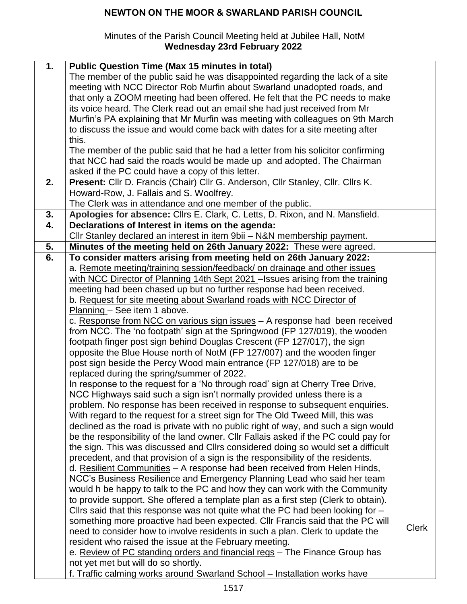## **NEWTON ON THE MOOR & SWARLAND PARISH COUNCIL**

## Minutes of the Parish Council Meeting held at Jubilee Hall, NotM **Wednesday 23rd February 2022**

| 1. | <b>Public Question Time (Max 15 minutes in total)</b>                               |              |
|----|-------------------------------------------------------------------------------------|--------------|
|    | The member of the public said he was disappointed regarding the lack of a site      |              |
|    | meeting with NCC Director Rob Murfin about Swarland unadopted roads, and            |              |
|    | that only a ZOOM meeting had been offered. He felt that the PC needs to make        |              |
|    | its voice heard. The Clerk read out an email she had just received from Mr          |              |
|    |                                                                                     |              |
|    | Murfin's PA explaining that Mr Murfin was meeting with colleagues on 9th March      |              |
|    | to discuss the issue and would come back with dates for a site meeting after        |              |
|    | this.                                                                               |              |
|    | The member of the public said that he had a letter from his solicitor confirming    |              |
|    | that NCC had said the roads would be made up and adopted. The Chairman              |              |
|    | asked if the PC could have a copy of this letter.                                   |              |
| 2. | Present: Cllr D. Francis (Chair) Cllr G. Anderson, Cllr Stanley, Cllr. Cllrs K.     |              |
|    | Howard-Row, J. Fallais and S. Woolfrey.                                             |              |
|    | The Clerk was in attendance and one member of the public.                           |              |
| 3. | Apologies for absence: Cllrs E. Clark, C. Letts, D. Rixon, and N. Mansfield.        |              |
| 4. | Declarations of Interest in items on the agenda:                                    |              |
|    | Cllr Stanley declared an interest in item 9bii - N&N membership payment.            |              |
| 5. | Minutes of the meeting held on 26th January 2022: These were agreed.                |              |
| 6. | To consider matters arising from meeting held on 26th January 2022:                 |              |
|    | a. Remote meeting/training session/feedback/ on drainage and other issues           |              |
|    | with NCC Director of Planning 14th Sept 2021 - Issues arising from the training     |              |
|    | meeting had been chased up but no further response had been received.               |              |
|    | b. Request for site meeting about Swarland roads with NCC Director of               |              |
|    | Planning - See item 1 above.                                                        |              |
|    | c. Response from NCC on various sign issues - A response had been received          |              |
|    | from NCC. The 'no footpath' sign at the Springwood (FP 127/019), the wooden         |              |
|    | footpath finger post sign behind Douglas Crescent (FP 127/017), the sign            |              |
|    | opposite the Blue House north of NotM (FP 127/007) and the wooden finger            |              |
|    | post sign beside the Percy Wood main entrance (FP 127/018) are to be                |              |
|    | replaced during the spring/summer of 2022.                                          |              |
|    | In response to the request for a 'No through road' sign at Cherry Tree Drive,       |              |
|    |                                                                                     |              |
|    | NCC Highways said such a sign isn't normally provided unless there is a             |              |
|    | problem. No response has been received in response to subsequent enquiries.         |              |
|    | With regard to the request for a street sign for The Old Tweed Mill, this was       |              |
|    | declined as the road is private with no public right of way, and such a sign would  |              |
|    | be the responsibility of the land owner. Cllr Fallais asked if the PC could pay for |              |
|    | the sign. This was discussed and Cllrs considered doing so would set a difficult    |              |
|    | precedent, and that provision of a sign is the responsibility of the residents.     |              |
|    | d. Resilient Communities - A response had been received from Helen Hinds,           |              |
|    | NCC's Business Resilience and Emergency Planning Lead who said her team             |              |
|    | would h be happy to talk to the PC and how they can work with the Community         |              |
|    | to provide support. She offered a template plan as a first step (Clerk to obtain).  |              |
|    | Cllrs said that this response was not quite what the PC had been looking for $-$    |              |
|    | something more proactive had been expected. Cllr Francis said that the PC will      |              |
|    | need to consider how to involve residents in such a plan. Clerk to update the       | <b>Clerk</b> |
|    | resident who raised the issue at the February meeting.                              |              |
|    | e. Review of PC standing orders and financial regs - The Finance Group has          |              |
|    | not yet met but will do so shortly.                                                 |              |
|    | f. Traffic calming works around Swarland School - Installation works have           |              |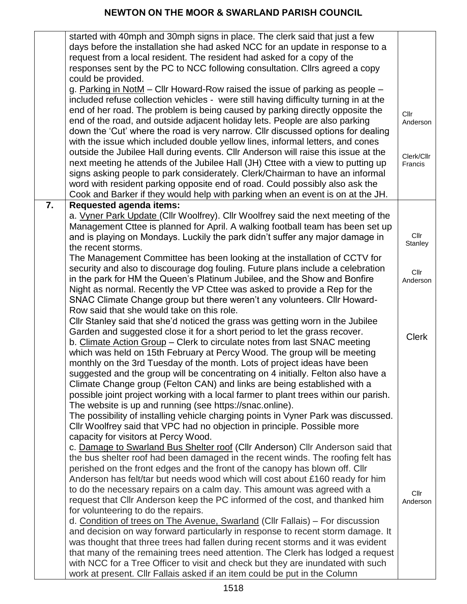|    | started with 40mph and 30mph signs in place. The clerk said that just a few          |              |
|----|--------------------------------------------------------------------------------------|--------------|
|    | days before the installation she had asked NCC for an update in response to a        |              |
|    | request from a local resident. The resident had asked for a copy of the              |              |
|    | responses sent by the PC to NCC following consultation. Cllrs agreed a copy          |              |
|    | could be provided.                                                                   |              |
|    | g. Parking in NotM - Cllr Howard-Row raised the issue of parking as people -         |              |
|    | included refuse collection vehicles - were still having difficulty turning in at the |              |
|    | end of her road. The problem is being caused by parking directly opposite the        | Cllr         |
|    | end of the road, and outside adjacent holiday lets. People are also parking          | Anderson     |
|    | down the 'Cut' where the road is very narrow. Cllr discussed options for dealing     |              |
|    | with the issue which included double yellow lines, informal letters, and cones       |              |
|    | outside the Jubilee Hall during events. Cllr Anderson will raise this issue at the   | Clerk/Cllr   |
|    | next meeting he attends of the Jubilee Hall (JH) Cttee with a view to putting up     | Francis      |
|    | signs asking people to park considerately. Clerk/Chairman to have an informal        |              |
|    | word with resident parking opposite end of road. Could possibly also ask the         |              |
|    | Cook and Barker if they would help with parking when an event is on at the JH.       |              |
| 7. | <b>Requested agenda items:</b>                                                       |              |
|    | a. Vyner Park Update (Cllr Woolfrey). Cllr Woolfrey said the next meeting of the     |              |
|    | Management Cttee is planned for April. A walking football team has been set up       |              |
|    | and is playing on Mondays. Luckily the park didn't suffer any major damage in        | Cllr         |
|    | the recent storms.                                                                   | Stanley      |
|    | The Management Committee has been looking at the installation of CCTV for            |              |
|    | security and also to discourage dog fouling. Future plans include a celebration      | Cllr         |
|    | in the park for HM the Queen's Platinum Jubilee, and the Show and Bonfire            | Anderson     |
|    | Night as normal. Recently the VP Cttee was asked to provide a Rep for the            |              |
|    | SNAC Climate Change group but there weren't any volunteers. Cllr Howard-             |              |
|    | Row said that she would take on this role.                                           |              |
|    | Cllr Stanley said that she'd noticed the grass was getting worn in the Jubilee       |              |
|    | Garden and suggested close it for a short period to let the grass recover.           |              |
|    | b. Climate Action Group - Clerk to circulate notes from last SNAC meeting            | <b>Clerk</b> |
|    | which was held on 15th February at Percy Wood. The group will be meeting             |              |
|    | monthly on the 3rd Tuesday of the month. Lots of project ideas have been             |              |
|    | suggested and the group will be concentrating on 4 initially. Felton also have a     |              |
|    | Climate Change group (Felton CAN) and links are being established with a             |              |
|    | possible joint project working with a local farmer to plant trees within our parish. |              |
|    | The website is up and running (see https://snac.online).                             |              |
|    | The possibility of installing vehicle charging points in Vyner Park was discussed.   |              |
|    | Cllr Woolfrey said that VPC had no objection in principle. Possible more             |              |
|    | capacity for visitors at Percy Wood.                                                 |              |
|    | c. Damage to Swarland Bus Shelter roof (Cllr Anderson) Cllr Anderson said that       |              |
|    | the bus shelter roof had been damaged in the recent winds. The roofing felt has      |              |
|    | perished on the front edges and the front of the canopy has blown off. Cllr          |              |
|    | Anderson has felt/tar but needs wood which will cost about £160 ready for him        |              |
|    | to do the necessary repairs on a calm day. This amount was agreed with a             | Cllr         |
|    | request that Cllr Anderson keep the PC informed of the cost, and thanked him         | Anderson     |
|    | for volunteering to do the repairs.                                                  |              |
|    | d. Condition of trees on The Avenue, Swarland (Cllr Fallais) - For discussion        |              |
|    | and decision on way forward particularly in response to recent storm damage. It      |              |
|    | was thought that three trees had fallen during recent storms and it was evident      |              |
|    | that many of the remaining trees need attention. The Clerk has lodged a request      |              |
|    | with NCC for a Tree Officer to visit and check but they are inundated with such      |              |
|    | work at present. Cllr Fallais asked if an item could be put in the Column            |              |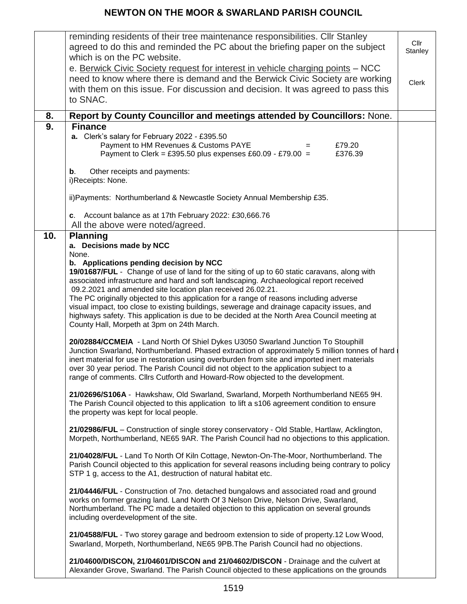## **NEWTON ON THE MOOR & SWARLAND PARISH COUNCIL**

|     | reminding residents of their tree maintenance responsibilities. Cllr Stanley<br>agreed to do this and reminded the PC about the briefing paper on the subject<br>which is on the PC website.                                                                                                                                                                                                                                                                                                                                                                                                                                                                                                                                                                                                                                                                                                                                                                                                                                                                                                                                                                                                                                                           | Cllr<br>Stanley |
|-----|--------------------------------------------------------------------------------------------------------------------------------------------------------------------------------------------------------------------------------------------------------------------------------------------------------------------------------------------------------------------------------------------------------------------------------------------------------------------------------------------------------------------------------------------------------------------------------------------------------------------------------------------------------------------------------------------------------------------------------------------------------------------------------------------------------------------------------------------------------------------------------------------------------------------------------------------------------------------------------------------------------------------------------------------------------------------------------------------------------------------------------------------------------------------------------------------------------------------------------------------------------|-----------------|
|     | e. Berwick Civic Society request for interest in vehicle charging points - NCC<br>need to know where there is demand and the Berwick Civic Society are working<br>with them on this issue. For discussion and decision. It was agreed to pass this<br>to SNAC.                                                                                                                                                                                                                                                                                                                                                                                                                                                                                                                                                                                                                                                                                                                                                                                                                                                                                                                                                                                         | <b>Clerk</b>    |
| 8.  | Report by County Councillor and meetings attended by Councillors: None.                                                                                                                                                                                                                                                                                                                                                                                                                                                                                                                                                                                                                                                                                                                                                                                                                                                                                                                                                                                                                                                                                                                                                                                |                 |
| 9.  | <b>Finance</b><br>a. Clerk's salary for February 2022 - £395.50<br>Payment to HM Revenues & Customs PAYE<br>£79.20<br>Payment to Clerk = £395.50 plus expenses £60.09 - £79.00 =<br>£376.39<br>Other receipts and payments:<br>b.<br>i)Receipts: None.<br>ii) Payments: Northumberland & Newcastle Society Annual Membership £35.<br>c. Account balance as at 17th February 2022: £30,666.76                                                                                                                                                                                                                                                                                                                                                                                                                                                                                                                                                                                                                                                                                                                                                                                                                                                           |                 |
|     | All the above were noted/agreed.                                                                                                                                                                                                                                                                                                                                                                                                                                                                                                                                                                                                                                                                                                                                                                                                                                                                                                                                                                                                                                                                                                                                                                                                                       |                 |
| 10. | <b>Planning</b><br>a. Decisions made by NCC<br>None.<br>b. Applications pending decision by NCC<br>19/01687/FUL - Change of use of land for the siting of up to 60 static caravans, along with<br>associated infrastructure and hard and soft landscaping. Archaeological report received<br>09.2.2021 and amended site location plan received 26.02.21.<br>The PC originally objected to this application for a range of reasons including adverse<br>visual impact, too close to existing buildings, sewerage and drainage capacity issues, and<br>highways safety. This application is due to be decided at the North Area Council meeting at<br>County Hall, Morpeth at 3pm on 24th March.<br>20/02884/CCMEIA - Land North Of Shiel Dykes U3050 Swarland Junction To Stouphill<br>Junction Swarland, Northumberland. Phased extraction of approximately 5 million tonnes of hard<br>inert material for use in restoration using overburden from site and imported inert materials<br>over 30 year period. The Parish Council did not object to the application subject to a<br>range of comments. Clirs Cutforth and Howard-Row objected to the development.<br>21/02696/S106A - Hawkshaw, Old Swarland, Swarland, Morpeth Northumberland NE65 9H. |                 |
|     | The Parish Council objected to this application to lift a s106 agreement condition to ensure<br>the property was kept for local people.<br>21/02986/FUL - Construction of single storey conservatory - Old Stable, Hartlaw, Acklington,<br>Morpeth, Northumberland, NE65 9AR. The Parish Council had no objections to this application.                                                                                                                                                                                                                                                                                                                                                                                                                                                                                                                                                                                                                                                                                                                                                                                                                                                                                                                |                 |
|     | 21/04028/FUL - Land To North Of Kiln Cottage, Newton-On-The-Moor, Northumberland. The<br>Parish Council objected to this application for several reasons including being contrary to policy<br>STP 1 g, access to the A1, destruction of natural habitat etc.                                                                                                                                                                                                                                                                                                                                                                                                                                                                                                                                                                                                                                                                                                                                                                                                                                                                                                                                                                                          |                 |
|     | 21/04446/FUL - Construction of 7no. detached bungalows and associated road and ground<br>works on former grazing land. Land North Of 3 Nelson Drive, Nelson Drive, Swarland,<br>Northumberland. The PC made a detailed objection to this application on several grounds<br>including overdevelopment of the site.                                                                                                                                                                                                                                                                                                                                                                                                                                                                                                                                                                                                                                                                                                                                                                                                                                                                                                                                      |                 |
|     | 21/04588/FUL - Two storey garage and bedroom extension to side of property.12 Low Wood,<br>Swarland, Morpeth, Northumberland, NE65 9PB. The Parish Council had no objections.                                                                                                                                                                                                                                                                                                                                                                                                                                                                                                                                                                                                                                                                                                                                                                                                                                                                                                                                                                                                                                                                          |                 |
|     | 21/04600/DISCON, 21/04601/DISCON and 21/04602/DISCON - Drainage and the culvert at<br>Alexander Grove, Swarland. The Parish Council objected to these applications on the grounds                                                                                                                                                                                                                                                                                                                                                                                                                                                                                                                                                                                                                                                                                                                                                                                                                                                                                                                                                                                                                                                                      |                 |